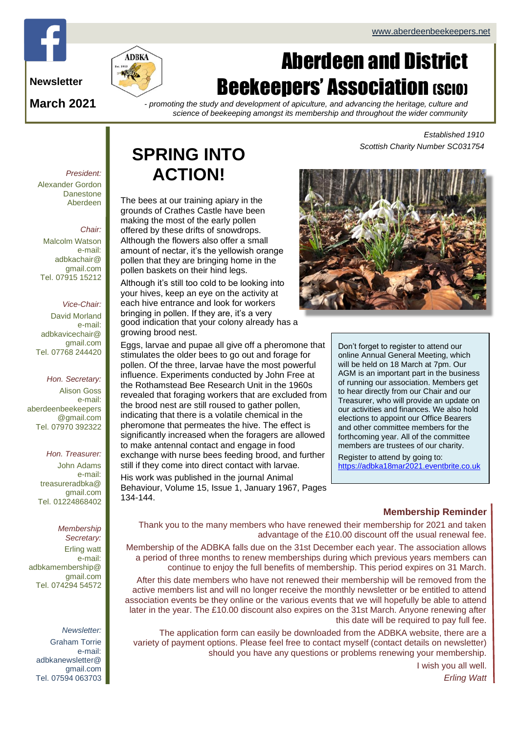# Page 1 of 4 ADBKa newsletter and the second second second second second second second second second second second second second second second second second second second second second second second second second second sec

**Newsletter**

**March 2021**

# Aberdeen and District **Beekeepers' Association (SCIO)**

*- promoting the study and development of apiculture, and advancing the heritage, culture and science of beekeeping amongst its membership and throughout the wider community*

> *Established 1910 Scottish Charity Number SC031754*

*President:* Alexander Gordon Danestone Aberdeen

#### *Chair:*

Malcolm Watson e-mail: adbkachair@ gmail.com Tel. 07915 15212

#### *Vice-Chair:*

David Morland e-mail: adbkavicechair@ gmail.com Tel. 07768 244420

#### *Hon. Secretary:*

Alison Goss e-mail: [aberdeenbeekeepers](mailto:aberdeenbeekeepers@gmail.com) [@gmail.com](mailto:aberdeenbeekeepers@gmail.com) Tel. 07970 392322

#### *Hon. Treasurer:*

John Adams e-mail: treasureradbka@ gmail.com Tel. 01224868402

*Membership Secretary:*  Erling watt e-mail: adbkamembership@ gmail.com Tel. 074294 54572

*Newsletter:* Graham Torrie e-mail: adbkanewsletter@ gmail.com Tel. 07594 063703

## **SPRING INTO ACTION!**

The bees at our training apiary in the grounds of Crathes Castle have been making the most of the early pollen offered by these drifts of snowdrops. Although the flowers also offer a small amount of nectar, it's the yellowish orange pollen that they are bringing home in the pollen baskets on their hind legs.

Although it's still too cold to be looking into your hives, keep an eye on the activity at each hive entrance and look for workers bringing in pollen. If they are, it's a very good indication that your colony already has a growing brood nest.

Eggs, larvae and pupae all give off a pheromone that stimulates the older bees to go out and forage for pollen. Of the three, larvae have the most powerful influence. Experiments conducted by John Free at the Rothamstead Bee Research Unit in the 1960s revealed that foraging workers that are excluded from the brood nest are still roused to gather pollen, indicating that there is a volatile chemical in the pheromone that permeates the hive. The effect is significantly increased when the foragers are allowed to make antennal contact and engage in food exchange with nurse bees feeding brood, and further still if they come into direct contact with larvae.

His work was published in the journal Animal Behaviour, Volume 15, Issue 1, January 1967, Pages 134-144.



Don't forget to register to attend our online Annual General Meeting, which will be held on 18 March at 7pm. Our AGM is an important part in the business of running our association. Members get to hear directly from our Chair and our Treasurer, who will provide an update on our activities and finances. We also hold elections to appoint our Office Bearers and other committee members for the forthcoming year. All of the committee members are trustees of our charity.

Register to attend by going to: [https://adbka18mar2021.eventbrite.co.uk](https://adbka18mar2021.eventbrite.co.uk/)

#### **Membership Reminder**

Thank you to the many members who have renewed their membership for 2021 and taken advantage of the £10.00 discount off the usual renewal fee.

Membership of the ADBKA falls due on the 31st December each year. The association allows a period of three months to renew memberships during which previous years members can continue to enjoy the full benefits of membership. This period expires on 31 March.

After this date members who have not renewed their membership will be removed from the active members list and will no longer receive the monthly newsletter or be entitled to attend association events be they online or the various events that we will hopefully be able to attend later in the year. The £10.00 discount also expires on the 31st March. Anyone renewing after this date will be required to pay full fee.

The application form can easily be downloaded from the ADBKA website, there are a variety of payment options. Please feel free to contact myself (contact details on newsletter) should you have any questions or problems renewing your membership.

> I wish you all well. *Erling Watt*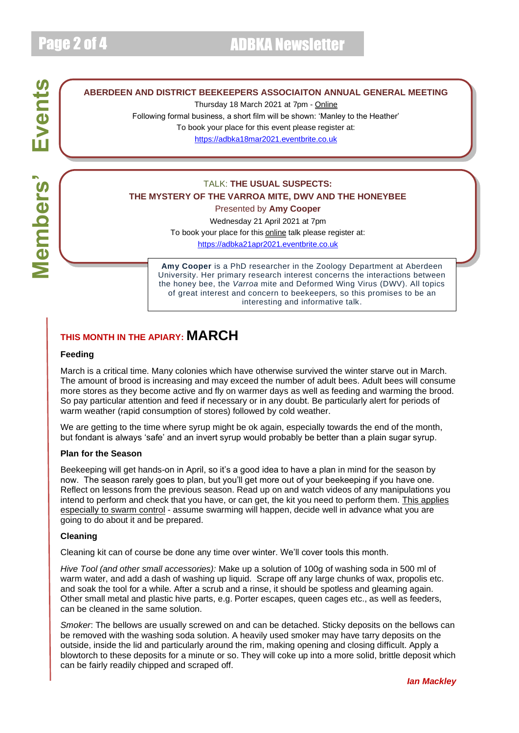# Events **Members' Events Members'**

#### **ABERDEEN AND DISTRICT BEEKEEPERS ASSOCIAITON ANNUAL GENERAL MEETING**

Thursday 18 March 2021 at 7pm - Online

Following formal business, a short film will be shown: 'Manley to the Heather'

To book your place for this event please register at:

[https://adbka18mar2021.eventbrite.co.uk](https://adbka18mar2021.eventbrite.co.uk/)

#### TALK: **THE USUAL SUSPECTS: THE MYSTERY OF THE VARROA MITE, DWV AND THE HONEYBEE**

Presented by **Amy Cooper**

Wednesday 21 April 2021 at 7pm

To book your place for this **online** talk please register at:

[https://adbka21apr2021.eventbrite.co.uk](https://adbka21apr2021.eventbrite.co.uk/)

**Amy Cooper** is a PhD researcher in the Zoology Department at Aberdeen University. Her primary research interest concerns the interactions between the honey bee, the *Varroa* mite and Deformed Wing Virus (DWV). All topics of great interest and concern to beekeepers, so this promises to be an interesting and informative talk.

#### **THIS MONTH IN THE APIARY: MARCH**

#### **Feeding**

March is a critical time. Many colonies which have otherwise survived the winter starve out in March. The amount of brood is increasing and may exceed the number of adult bees. Adult bees will consume more stores as they become active and fly on warmer days as well as feeding and warming the brood. So pay particular attention and feed if necessary or in any doubt. Be particularly alert for periods of warm weather (rapid consumption of stores) followed by cold weather.

We are getting to the time where syrup might be ok again, especially towards the end of the month, but fondant is always 'safe' and an invert syrup would probably be better than a plain sugar syrup.

#### **Plan for the Season**

Beekeeping will get hands-on in April, so it's a good idea to have a plan in mind for the season by now. The season rarely goes to plan, but you'll get more out of your beekeeping if you have one. Reflect on lessons from the previous season. Read up on and watch videos of any manipulations you intend to perform and check that you have, or can get, the kit you need to perform them. This applies especially to swarm control - assume swarming will happen, decide well in advance what you are going to do about it and be prepared.

#### **Cleaning**

Cleaning kit can of course be done any time over winter. We'll cover tools this month.

*Hive Tool (and other small accessories):* Make up a solution of 100g of washing soda in 500 ml of warm water, and add a dash of washing up liquid. Scrape off any large chunks of wax, propolis etc. and soak the tool for a while. After a scrub and a rinse, it should be spotless and gleaming again. Other small metal and plastic hive parts, e.g. Porter escapes, queen cages etc., as well as feeders, can be cleaned in the same solution.

*Smoker*: The bellows are usually screwed on and can be detached. Sticky deposits on the bellows can be removed with the washing soda solution. A heavily used smoker may have tarry deposits on the outside, inside the lid and particularly around the rim, making opening and closing difficult. Apply a blowtorch to these deposits for a minute or so. They will coke up into a more solid, brittle deposit which can be fairly readily chipped and scraped off.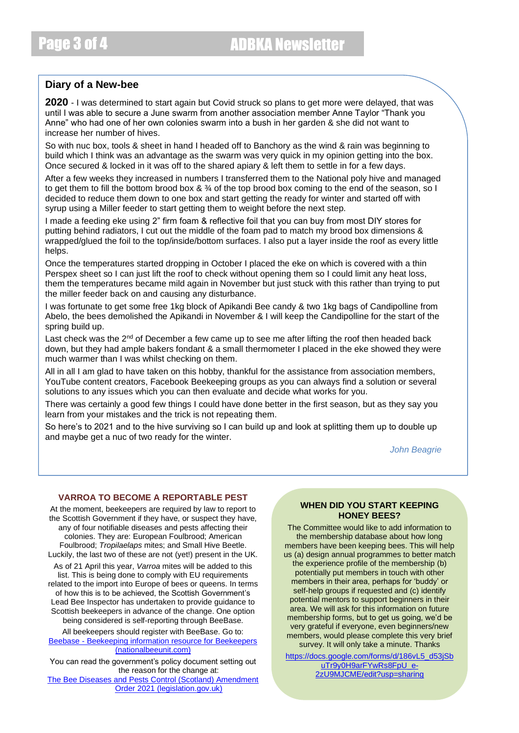#### **Diary of a New-bee**

**2020** - I was determined to start again but Covid struck so plans to get more were delayed, that was until I was able to secure a June swarm from another association member Anne Taylor "Thank you Anne" who had one of her own colonies swarm into a bush in her garden & she did not want to increase her number of hives.

So with nuc box, tools & sheet in hand I headed off to Banchory as the wind & rain was beginning to build which I think was an advantage as the swarm was very quick in my opinion getting into the box. Once secured & locked in it was off to the shared apiary & left them to settle in for a few days.

After a few weeks they increased in numbers I transferred them to the National poly hive and managed to get them to fill the bottom brood box &  $\frac{3}{4}$  of the top brood box coming to the end of the season, so I decided to reduce them down to one box and start getting the ready for winter and started off with syrup using a Miller feeder to start getting them to weight before the next step.

I made a feeding eke using 2" firm foam & reflective foil that you can buy from most DIY stores for putting behind radiators, I cut out the middle of the foam pad to match my brood box dimensions & wrapped/glued the foil to the top/inside/bottom surfaces. I also put a layer inside the roof as every little helps.

Once the temperatures started dropping in October I placed the eke on which is covered with a thin Perspex sheet so I can just lift the roof to check without opening them so I could limit any heat loss, them the temperatures became mild again in November but just stuck with this rather than trying to put the miller feeder back on and causing any disturbance.

I was fortunate to get some free 1kg block of Apikandi Bee candy & two 1kg bags of Candipolline from Abelo, the bees demolished the Apikandi in November & I will keep the Candipolline for the start of the spring build up.

Last check was the  $2<sup>nd</sup>$  of December a few came up to see me after lifting the roof then headed back down, but they had ample bakers fondant & a small thermometer I placed in the eke showed they were much warmer than I was whilst checking on them.

All in all I am glad to have taken on this hobby, thankful for the assistance from association members, YouTube content creators, Facebook Beekeeping groups as you can always find a solution or several solutions to any issues which you can then evaluate and decide what works for you.

There was certainly a good few things I could have done better in the first season, but as they say you learn from your mistakes and the trick is not repeating them.

So here's to 2021 and to the hive surviving so I can build up and look at splitting them up to double up and maybe get a nuc of two ready for the winter.

*John Beagrie*

#### **VARROA TO BECOME A REPORTABLE PEST**

At the moment, beekeepers are required by law to report to the Scottish Government if they have, or suspect they have, any of four notifiable diseases and pests affecting their colonies. They are: European Foulbrood; American Foulbrood; *Tropilaelaps* mites; and Small Hive Beetle. Luckily, the last two of these are not (yet!) present in the UK.

As of 21 April this year, *Varroa* mites will be added to this list. This is being done to comply with EU requirements related to the import into Europe of bees or queens. In terms of how this is to be achieved, the Scottish Government's Lead Bee Inspector has undertaken to provide guidance to Scottish beekeepers in advance of the change. One option

being considered is self-reporting through BeeBase. All beekeepers should register with BeeBase. Go to:

Beebase - [Beekeeping information resource for Beekeepers](https://www.nationalbeeunit.com/)  [\(nationalbeeunit.com\)](https://www.nationalbeeunit.com/)

You can read the government's policy document setting out the reason for the change at:

[The Bee Diseases and Pests Control \(Scotland\) Amendment](https://scottishbeekeepers.us12.list-manage.com/track/click?u=b7f131efc76d2039ee5347aea&id=f4da8765e1&e=d6ebe45fc1)  [Order 2021 \(legislation.gov.uk\)](https://scottishbeekeepers.us12.list-manage.com/track/click?u=b7f131efc76d2039ee5347aea&id=f4da8765e1&e=d6ebe45fc1)

#### **WHEN DID YOU START KEEPING HONEY BEES?**

The Committee would like to add information to the membership database about how long members have been keeping bees. This will help us (a) design annual programmes to better match the experience profile of the membership (b) potentially put members in touch with other members in their area, perhaps for 'buddy' or self-help groups if requested and (c) identify potential mentors to support beginners in their area. We will ask for this information on future membership forms, but to get us going, we'd be very grateful if everyone, even beginners/new members, would please complete this very brief survey. It will only take a minute. Thanks

[https://docs.google.com/forms/d/186vL5\\_d53jSb](about:blank) [uTr9y0H9arFYwRs8FpU\\_e-](about:blank)[2zU9MJCME/edit?usp=sharing](about:blank)